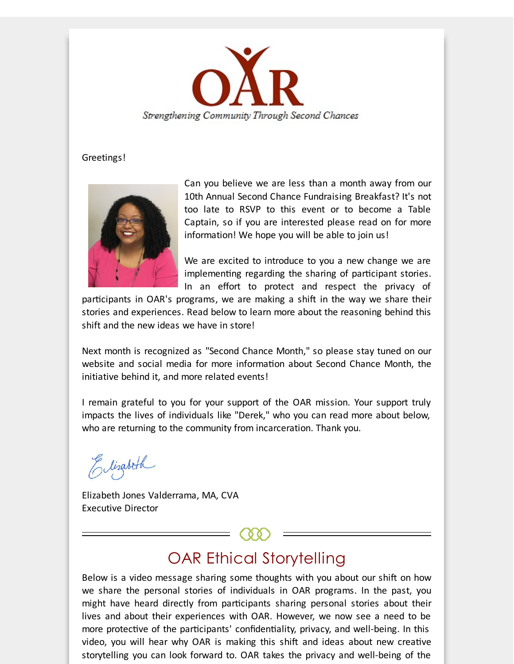

#### Greetings!



Can you believe we are less than a month away from our 10th Annual Second Chance Fundraising Breakfast? It's not too late to RSVP to this event or to become a Table Captain, so if you are interested please read on for more information! We hope you will be able to join us!

We are excited to introduce to you a new change we are implementing regarding the sharing of participant stories. In an effort to protect and respect the privacy of

participants in OAR's programs, we are making a shift in the way we share their stories and experiences. Read below to learn more about the reasoning behind this shift and the new ideas we have in store!

Next month is recognized as "Second Chance Month," so please stay tuned on our website and social media for more information about Second Chance Month, the initiative behind it, and more related events!

I remain grateful to you for your support of the OAR mission. Your support truly impacts the lives of individuals like "Derek," who you can read more about below, who are returning to the community from incarceration. Thank you.

Elizabeth

Elizabeth Jones Valderrama, MA, CVA Executive Director

## OAR Ethical Storytelling

Below is a video message sharing some thoughts with you about our shift on how we share the personal stories of individuals in OAR programs. In the past, you might have heard directly from participants sharing personal stories about their lives and about their experiences with OAR. However, we now see a need to be more protective of the participants' confidentiality, privacy, and well-being. In this video, you will hear why OAR is making this shift and ideas about new creative storytelling you can look forward to. OAR takes the privacy and well-being of the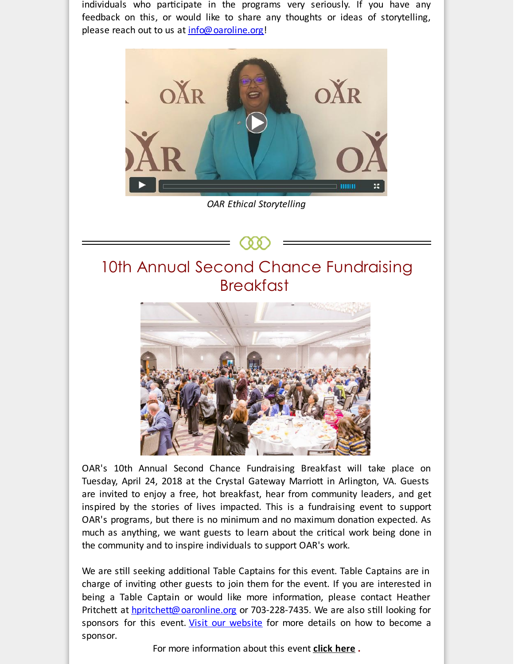individuals who participate in the programs very seriously. If you have any feedback on this, or would like to share any thoughts or ideas of storytelling, please reach out to us at [info@oaroline.org](mailto:info@oaroline.org)!



*OAR Ethical Storytelling*





OAR's 10th Annual Second Chance Fundraising Breakfast will take place on Tuesday, April 24, 2018 at the Crystal Gateway Marriott in Arlington, VA. Guests are invited to enjoy a free, hot breakfast, hear from community leaders, and get inspired by the stories of lives impacted. This is a fundraising event to support OAR's programs, but there is no minimum and no maximum donation expected. As much as anything, we want guests to learn about the critical work being done in the community and to inspire individuals to support OAR's work.

We are still seeking additional Table Captains for this event. Table Captains are in charge of inviting other guests to join them for the event. If you are interested in being a Table Captain or would like more information, please contact Heather Pritchett at **[hpritchett@oaronline.org](mailto:hpritchett@oaronline.org)** or 703-228-7435. We are also still looking for sponsors for this event. Visit our [website](http://r20.rs6.net/tn.jsp?f=001uXymkkW26e-B6i80JzAw-FEbmO2s0853xlhJSzeIN2pqSQMQJqnKQY-HUqWRBAdJ4sSRi-CdK_nQlq-Y1XBOy0YEKc-3XpWnfHNNxbiez7lW9AdGyvteBJ5wFDMPPkAJnFoQi3hyTzYdEWHouwOlmenHFzY1HM5vwqMjQ7bUa2EcOa_g6SDLZ5tnb2rEa9bxiVm24NFB4H0ZJySZ3rbre8Dq4bEwlmXFLbWOI2-atNLrHvH7i6kNwuEdwpGwHLSq5IGQqV8c9cb4dr0YXglk6aB5PTzEPej2EengaUT8wjqqc_UNNniAZynBDQb3LeoeF46uNENVto4ncDitWsIFTTHYGjE51SOVX-rO9oMHbu5_v3nN92gglKubbODDSKnM9pqRjk75GvlIXsNLeDbXaJMXoBCflFBvaQvAhR2_c6eXwhZvt7e3jg==&c=&ch=) for more details on how to become a sponsor.

For more information about this event **[click](http://r20.rs6.net/tn.jsp?f=001uXymkkW26e-B6i80JzAw-FEbmO2s0853xlhJSzeIN2pqSQMQJqnKQTFwV3J96s_SxImvGKb0Av3nqiPW71QKJKsG5i6pZySfYIsMqZnTrKwalz0ZO3WaN7qjXQD44ZbWgtxPN93pfM9jppi7ZDeGja-W9O_f-Culk7kN0udTZSAnt0MPx_9-Yprp0kvDHwYtYWRNUcHyjta4qmSc0G_3DPZ3F8PZF012TEtn8uIm6kCurbBjTtVeUJKF4QCPHoC8WoP-QUOgkJCO00ZxOULEiEm6K887SWjwyK9pt4vFvkujW5DbMPdQ6mZebHrDzZvK3e8l3b9_N441RcNWsFK6TEhlT0nvrxpxiS83zWr_SjGBSIijcZBXM_do8AeZtKGj4CPvfwy8C3pxjIAq2Ok0UPWlAQMqU-n1GonTnoOg_0o=&c=&ch=) here .**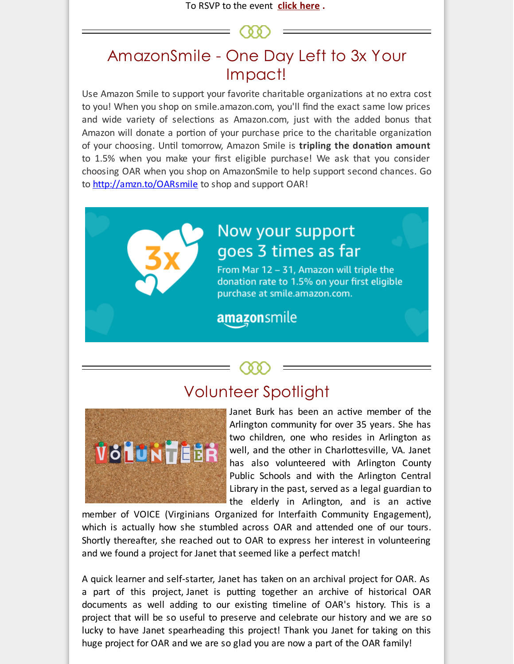To RSVP to the event **click [here](http://r20.rs6.net/tn.jsp?f=001uXymkkW26e-B6i80JzAw-FEbmO2s0853xlhJSzeIN2pqSQMQJqnKQY-HUqWRBAdJckBAl5kY-3eymZo93-opQrMUrv0tKqwWTw_19XEMaJGUpeq6346e-mh-izsExtu74liFd206NKc9yOQfkkRH4bSJgmBHlaniNTRSY7xgk90ay0-akpqdNG0XCxMFIjwEoDJTJhf85S8Y3C-SQ359fJpaFC1tbuG7QV3hbFsEVLXGeeOxhpTcBopa3XDqLnO8Cs1oSTKcGASSBkptC0TiM0K-scJfgNxxMeLpVKTmL623EQFImd1iHgaydoTkN8lT&c=&ch=) .**

# AmazonSmile - One Day Left to 3x Your Impact!

Use Amazon Smile to support your favorite charitable organizations at no extra cost to you! When you shop on smile.amazon.com, you'll find the exact same low prices and wide variety of selections as Amazon.com, just with the added bonus that Amazon will donate a portion of your purchase price to the charitable organization of your choosing. Until tomorrow, Amazon Smile is **tripling the donation amount** to 1.5% when you make your first eligible purchase! We ask that you consider choosing OAR when you shop on AmazonSmile to help support second chances. Go to [http://amzn.to/OARsmile](http://r20.rs6.net/tn.jsp?f=001uXymkkW26e-B6i80JzAw-FEbmO2s0853xlhJSzeIN2pqSQMQJqnKQc65nAYGTC4vU4ZSB6hWN1jHL2V_LZjnfLvrIIwQSEl3U2T1kkeQe59eF_S-oBoLUcC47m2N1Ep0v2cqpuVoMYOSwQAgUBcR-G2Cc6NVBQLDQJY2YlfN9iESDHZdtnZfQufcEJGGg6LveJ5E-2b0YmlSN9m13bE-zZUrpkQEiWLwMD7J9DFguZ3-JVu-Oio8g-psKP4J5-etr85RhqZf7LfmlDPLU5wziUwsOgRWbsCxaGuER8V-Cpx5L-0qZHJswFNxmuHwrNV3&c=&ch=) to shop and support OAR!



## Now your support goes 3 times as far

From Mar 12 - 31, Amazon will triple the donation rate to 1.5% on your first eligible purchase at smile.amazon.com.

### amazonsmile

### Volunteer Spotlight



Janet Burk has been an active member of the Arlington community for over 35 years. She has two children, one who resides in Arlington as well, and the other in Charlottesville, VA. Janet has also volunteered with Arlington County Public Schools and with the Arlington Central Library in the past, served as a legal guardian to the elderly in Arlington, and is an active

member of VOICE (Virginians Organized for Interfaith Community Engagement), which is actually how she stumbled across OAR and attended one of our tours. Shortly thereafter, she reached out to OAR to express her interest in volunteering and we found a project for Janet that seemed like a perfect match!

A quick learner and self-starter, Janet has taken on an archival project for OAR. As a part of this project, Janet is putting together an archive of historical OAR documents as well adding to our existing timeline of OAR's history. This is a project that will be so useful to preserve and celebrate our history and we are so lucky to have Janet spearheading this project! Thank you Janet for taking on this huge project for OAR and we are so glad you are now a part of the OAR family!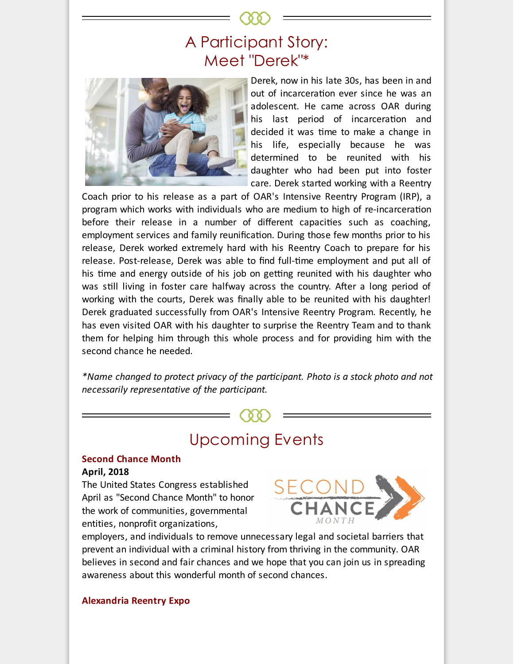# A Participant Story: Meet "Derek"\*



Derek, now in his late 30s, has been in and out of incarceration ever since he was an adolescent. He came across OAR during his last period of incarceration and decided it was time to make a change in his life, especially because he was determined to be reunited with his daughter who had been put into foster care. Derek started working with a Reentry

Coach prior to his release as a part of OAR's Intensive Reentry Program (IRP), a program which works with individuals who are medium to high of re-incarceration before their release in a number of different capacities such as coaching, employment services and family reunification. During those few months prior to his release, Derek worked extremely hard with his Reentry Coach to prepare for his release. Post-release, Derek was able to find full-time employment and put all of his time and energy outside of his job on getting reunited with his daughter who was still living in foster care halfway across the country. After a long period of working with the courts, Derek was finally able to be reunited with his daughter! Derek graduated successfully from OAR's Intensive Reentry Program. Recently, he has even visited OAR with his daughter to surprise the Reentry Team and to thank them for helping him through this whole process and for providing him with the second chance he needed.

*\*Name changed to protect privacy of the parcipant. Photo is a stock photo and not necessarily representative of the participant.*

## Upcoming Events

### **Second Chance Month**

#### **April, 2018**

The United States Congress established April as "Second Chance Month" to honor the work of communities, governmental entities, nonprofit organizations,



employers, and individuals to remove unnecessary legal and societal barriers that prevent an individual with a criminal history from thriving in the community. OAR believes in second and fair chances and we hope that you can join us in spreading awareness about this wonderful month of second chances.

**Alexandria Reentry Expo**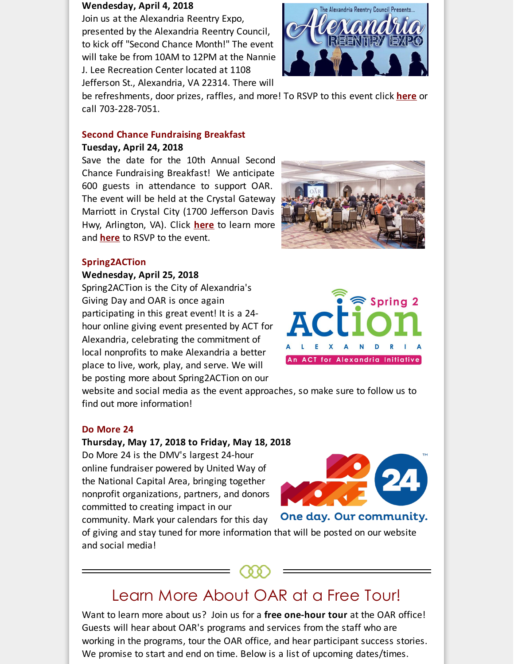#### **Wendesday, April 4, 2018**

Join us at the Alexandria Reentry Expo, presented by the Alexandria Reentry Council, to kick off "Second Chance Month!" The event will take be from 10AM to 12PM at the Nannie J. Lee Recreation Center located at 1108 Jefferson St., Alexandria, VA 22314. There will



be refreshments, door prizes, raffles, and more! To RSVP to this event click **[here](http://r20.rs6.net/tn.jsp?f=001uXymkkW26e-B6i80JzAw-FEbmO2s0853xlhJSzeIN2pqSQMQJqnKQc65nAYGTC4voYOBp1F0FnayE0nj2CE3hKQIsbcZ7uvx67jBLLD3kyli7O_x_bFoFeVn2UDwhb-js8ScZJhH-Vjvqc3eB94FlPG_EzojhGJ5KqiSmbtVmQcClaTJZUZ_xG7_XIgKTfXZ__mcj2oi3dCG2moKFhrxBnunJj6adk040PCqZNVgWvxc8smbZmkWXCA0xvXcKP_DjBk2ZHgD8cjXLFxT3YdsyJwMjeIxdHgkKQnBD9SMd-y3A1hrjT5rRkCmiN1NLJsjTkugvht3GvTMzXz3wJcCTXEZilWHRgEv3aJvm7QPb0lv6TXGz4IfAXtX4UegC-Jxy6bFFlPBHmEBIuB7iIqvqMB08wJl0Q6kngbdiy2JBJGyOvTcVa63-eh7pXKqjd1XM6Eiqkl6VxsMYZdFc4FkbMxe7Lgr-W9qZfNlYy6ZCVSu7fq8mL2vRlO8msDG07oxPijyVj2bipiR2Mj94Tv0Pg==&c=&ch=)** or call 703-228-7051.

#### **Second Chance Fundraising Breakfast**

#### **Tuesday, April 24, 2018**

Save the date for the 10th Annual Second Chance Fundraising Breakfast! We anticipate 600 guests in attendance to support OAR. The event will be held at the Crystal Gateway Marriott in Crystal City (1700 Jefferson Davis Hwy, Arlington, VA). Click **[here](http://r20.rs6.net/tn.jsp?f=001uXymkkW26e-B6i80JzAw-FEbmO2s0853xlhJSzeIN2pqSQMQJqnKQTFwV3J96s_SxImvGKb0Av3nqiPW71QKJKsG5i6pZySfYIsMqZnTrKwalz0ZO3WaN7qjXQD44ZbWgtxPN93pfM9jppi7ZDeGja-W9O_f-Culk7kN0udTZSAnt0MPx_9-Yprp0kvDHwYtYWRNUcHyjta4qmSc0G_3DPZ3F8PZF012TEtn8uIm6kCurbBjTtVeUJKF4QCPHoC8WoP-QUOgkJCO00ZxOULEiEm6K887SWjwyK9pt4vFvkujW5DbMPdQ6mZebHrDzZvK3e8l3b9_N441RcNWsFK6TEhlT0nvrxpxiS83zWr_SjGBSIijcZBXM_do8AeZtKGj4CPvfwy8C3pxjIAq2Ok0UPWlAQMqU-n1GonTnoOg_0o=&c=&ch=)** to learn more and **[here](http://r20.rs6.net/tn.jsp?f=001uXymkkW26e-B6i80JzAw-FEbmO2s0853xlhJSzeIN2pqSQMQJqnKQY-HUqWRBAdJckBAl5kY-3eymZo93-opQrMUrv0tKqwWTw_19XEMaJGUpeq6346e-mh-izsExtu74liFd206NKc9yOQfkkRH4bSJgmBHlaniNTRSY7xgk90ay0-akpqdNG0XCxMFIjwEoDJTJhf85S8Y3C-SQ359fJpaFC1tbuG7QV3hbFsEVLXGeeOxhpTcBopa3XDqLnO8Cs1oSTKcGASSBkptC0TiM0K-scJfgNxxMeLpVKTmL623EQFImd1iHgaydoTkN8lT&c=&ch=)** to RSVP to the event.



### **Spring2ACTion**

#### **Wednesday, April 25, 2018**

Spring2ACTion is the City of Alexandria's Giving Day and OAR is once again participating in this great event! It is a 24 hour online giving event presented by ACT for Alexandria, celebrating the commitment of local nonprofits to make Alexandria a better place to live, work, play, and serve. We will be posting more about Spring2ACTion on our



website and social media as the event approaches, so make sure to follow us to find out more information!

#### **Do More 24**

#### **Thursday, May 17, 2018 to Friday, May 18, 2018**

Do More 24 is the DMV's largest 24-hour online fundraiser powered by United Way of the National Capital Area, bringing together nonprofit organizations, partners, and donors committed to creating impact in our community. Mark your calendars for this day



One day. Our community.

of giving and stay tuned for more information that will be posted on our website and social media!



Want to learn more about us? Join us for a **free one-hour tour** at the OAR office! Guests will hear about OAR's programs and services from the staff who are working in the programs, tour the OAR office, and hear participant success stories. We promise to start and end on time. Below is a list of upcoming dates/times.